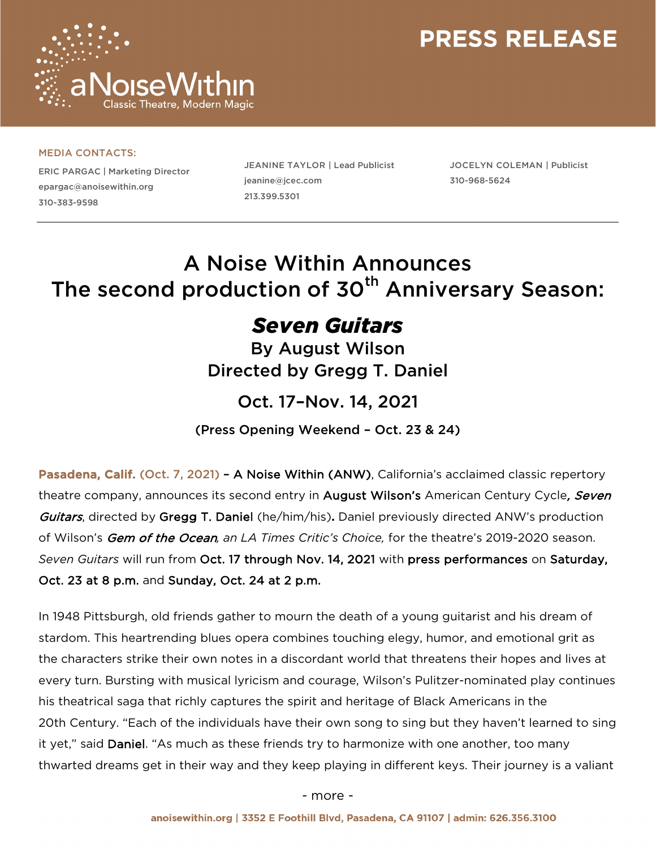

#### MEDIA CONTACTS:

ERIC PARGAC | Marketing Director epargac@anoisewithin.org 310-383-9598

JEANINE TAYLOR | Lead Publicist jeanine@jcec.com 213.399.5301

JOCELYN COLEMAN | Publicist 310-968-5624

### A Noise Within Announces The second production of 30<sup>th</sup> Anniversary Season:

### *Seven Guitars*

By August Wilson Directed by Gregg T. Daniel

### Oct. 17–Nov. 14, 2021

(Press Opening Weekend – Oct. 23 & 24)

Pasadena, Calif. (Oct. 7, 2021) - A Noise Within (ANW), California's acclaimed classic repertory theatre company, announces its second entry in August Wilson's American Century Cycle, Seven Guitars, directed by Gregg T. Daniel (he/him/his)**.** Daniel previously directed ANW's production of Wilson's Gem of the Ocean*, an LA Times Critic's Choice,* for the theatre's 2019-2020 season. *Seven Guitars* will run from Oct. 17 through Nov. 14, 2021 with press performances on Saturday, Oct. 23 at 8 p.m. and Sunday, Oct. 24 at 2 p.m.

In 1948 Pittsburgh, old friends gather to mourn the death of a young guitarist and his dream of stardom. This heartrending blues opera combines touching elegy, humor, and emotional grit as the characters strike their own notes in a discordant world that threatens their hopes and lives at every turn. Bursting with musical lyricism and courage, Wilson's Pulitzer-nominated play continues his theatrical saga that richly captures the spirit and heritage of Black Americans in the 20th Century. "Each of the individuals have their own song to sing but they haven't learned to sing it yet," said Daniel. "As much as these friends try to harmonize with one another, too many thwarted dreams get in their way and they keep playing in different keys. Their journey is a valiant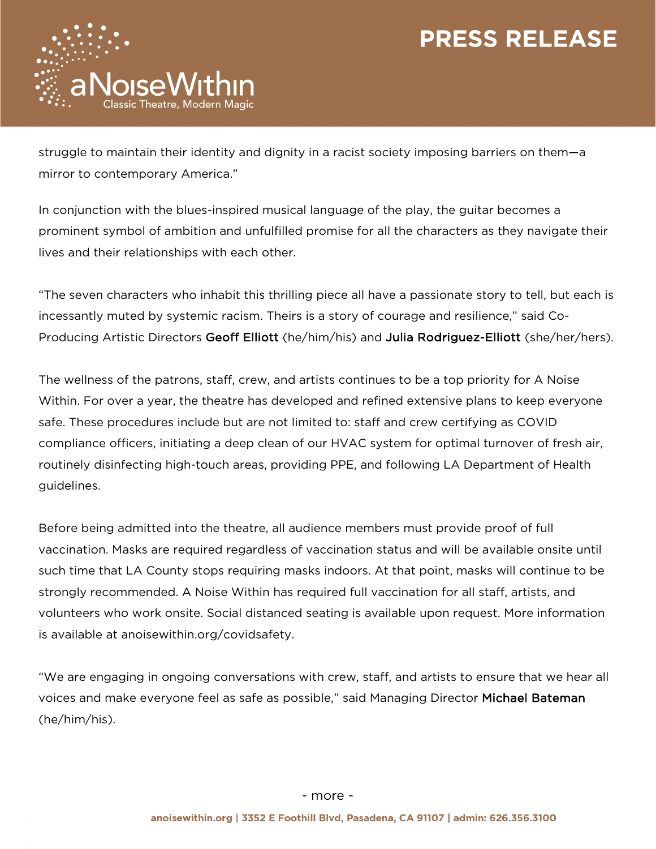

struggle to maintain their identity and dignity in a racist society imposing barriers on them—a mirror to contemporary America."

In conjunction with the blues-inspired musical language of the play, the guitar becomes a prominent symbol of ambition and unfulfilled promise for all the characters as they navigate their lives and their relationships with each other.

"The seven characters who inhabit this thrilling piece all have a passionate story to tell, but each is incessantly muted by systemic racism. Theirs is a story of courage and resilience," said Co-Producing Artistic Directors Geoff Elliott (he/him/his) and Julia Rodriguez-Elliott (she/her/hers).

The wellness of the patrons, staff, crew, and artists continues to be a top priority for A Noise Within. For over a year, the theatre has developed and refined extensive plans to keep everyone safe. These procedures include but are not limited to: staff and crew certifying as COVID compliance officers, initiating a deep clean of our HVAC system for optimal turnover of fresh air, routinely disinfecting high-touch areas, providing PPE, and following LA Department of Health guidelines.

Before being admitted into the theatre, all audience members must provide proof of full vaccination. Masks are required regardless of vaccination status and will be available onsite until such time that LA County stops requiring masks indoors. At that point, masks will continue to be strongly recommended. A Noise Within has required full vaccination for all staff, artists, and volunteers who work onsite. Social distanced seating is available upon request. More information is available at anoisewithin.org/covidsafety.

"We are engaging in ongoing conversations with crew, staff, and artists to ensure that we hear all voices and make everyone feel as safe as possible," said Managing Director Michael Bateman (he/him/his).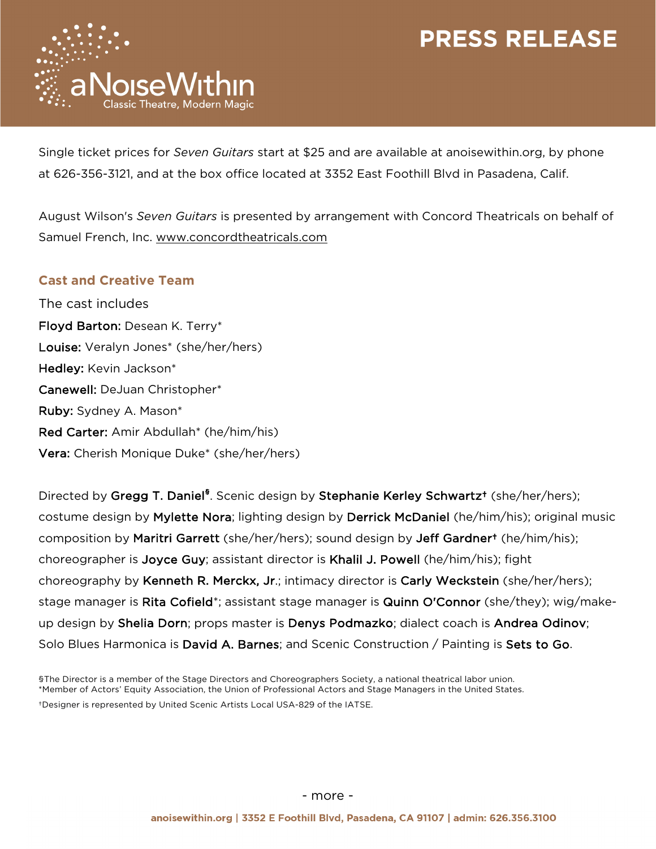

Single ticket prices for *Seven Guitars* start at \$25 and are available at anoisewithin.org, by phone at 626-356-3121, and at the box office located at 3352 East Foothill Blvd in Pasadena, Calif.

August Wilson's *Seven Guitars* is presented by arrangement with Concord Theatricals on behalf of Samuel French, Inc. www.concordtheatricals.com

### **Cast and Creative Team**

The cast includes Floyd Barton: Desean K. Terry\* Louise: Veralyn Jones\* (she/her/hers) Hedley: Kevin Jackson\* Canewell: DeJuan Christopher\* Ruby: Sydney A. Mason\* Red Carter: Amir Abdullah\* (he/him/his) Vera: Cherish Monique Duke\* (she/her/hers)

Directed by Gregg T. Daniel<sup>§</sup>. Scenic design by Stephanie Kerley Schwartz<sup>†</sup> (she/her/hers); costume design by Mylette Nora; lighting design by Derrick McDaniel (he/him/his); original music composition by Maritri Garrett (she/her/hers); sound design by Jeff Gardner<sup>+</sup> (he/him/his); choreographer is Joyce Guy; assistant director is Khalil J. Powell (he/him/his); fight choreography by Kenneth R. Merckx, Jr.; intimacy director is Carly Weckstein (she/her/hers); stage manager is Rita Cofield\*; assistant stage manager is Quinn O'Connor (she/they); wig/makeup design by Shelia Dorn; props master is Denys Podmazko; dialect coach is Andrea Odinov; Solo Blues Harmonica is David A. Barnes; and Scenic Construction / Painting is Sets to Go.

§The Director is a member of the Stage Directors and Choreographers Society, a national theatrical labor union. \*Member of Actors' Equity Association, the Union of Professional Actors and Stage Managers in the United States. †Designer is represented by United Scenic Artists Local USA-829 of the IATSE.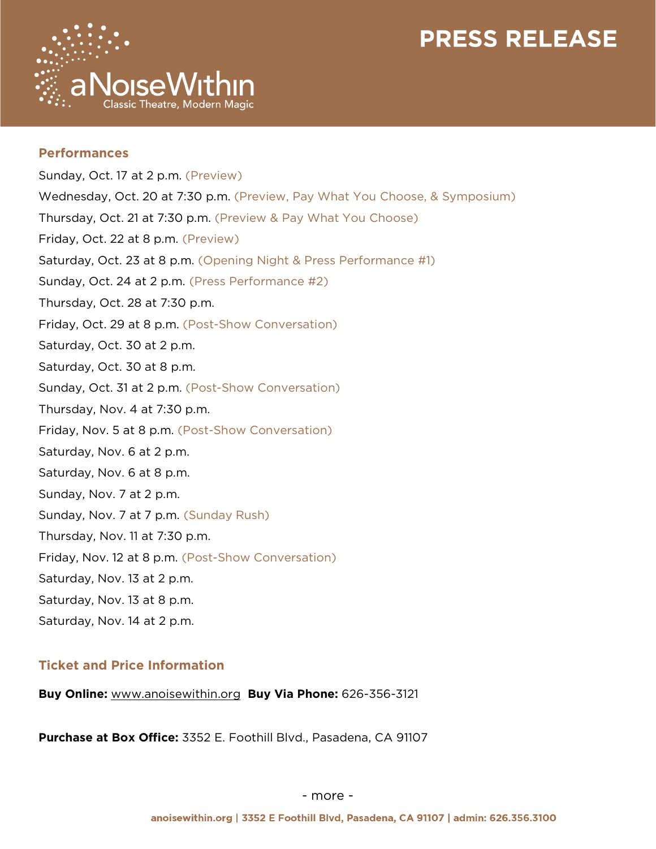

### **Performances**

Sunday, Oct. 17 at 2 p.m. (Preview) Wednesday, Oct. 20 at 7:30 p.m. (Preview, Pay What You Choose, & Symposium) Thursday, Oct. 21 at 7:30 p.m. (Preview & Pay What You Choose) Friday, Oct. 22 at 8 p.m. (Preview) Saturday, Oct. 23 at 8 p.m. (Opening Night & Press Performance #1) Sunday, Oct. 24 at 2 p.m. (Press Performance #2) Thursday, Oct. 28 at 7:30 p.m. Friday, Oct. 29 at 8 p.m. (Post-Show Conversation) Saturday, Oct. 30 at 2 p.m. Saturday, Oct. 30 at 8 p.m. Sunday, Oct. 31 at 2 p.m. (Post-Show Conversation) Thursday, Nov. 4 at 7:30 p.m. Friday, Nov. 5 at 8 p.m. (Post-Show Conversation) Saturday, Nov. 6 at 2 p.m. Saturday, Nov. 6 at 8 p.m. Sunday, Nov. 7 at 2 p.m. Sunday, Nov. 7 at 7 p.m. (Sunday Rush) Thursday, Nov. 11 at 7:30 p.m. Friday, Nov. 12 at 8 p.m. (Post-Show Conversation) Saturday, Nov. 13 at 2 p.m. Saturday, Nov. 13 at 8 p.m. Saturday, Nov. 14 at 2 p.m.

### **Ticket and Price Information**

**Buy Online:** www.anoisewithin.org **Buy Via Phone:** 626-356-3121

**Purchase at Box Office:** 3352 E. Foothill Blvd., Pasadena, CA 91107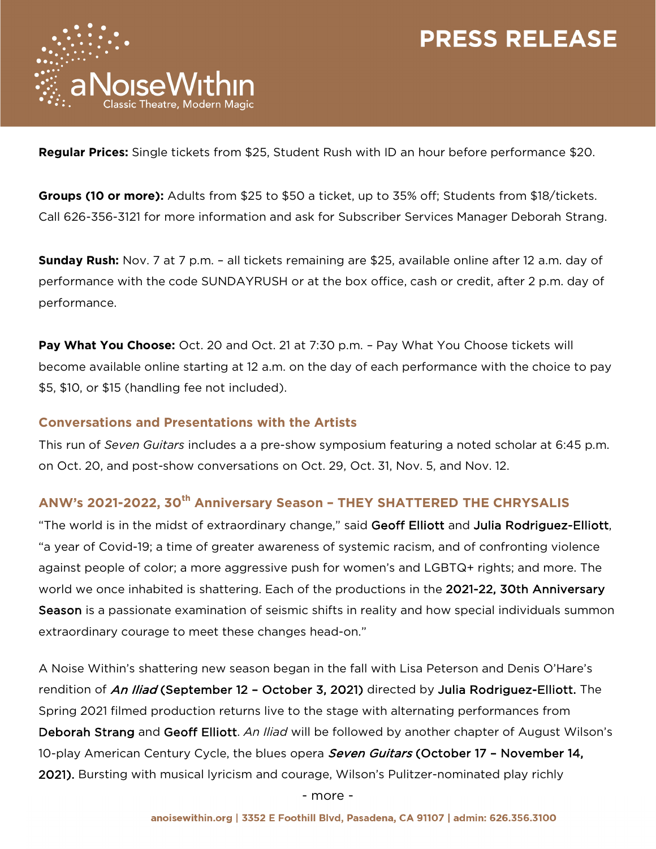

**Regular Prices:** Single tickets from \$25, Student Rush with ID an hour before performance \$20.

**Groups (10 or more):** Adults from \$25 to \$50 a ticket, up to 35% off; Students from \$18/tickets. Call 626-356-3121 for more information and ask for Subscriber Services Manager Deborah Strang.

**Sunday Rush:** Nov. 7 at 7 p.m. – all tickets remaining are \$25, available online after 12 a.m. day of performance with the code SUNDAYRUSH or at the box office, cash or credit, after 2 p.m. day of performance.

**Pay What You Choose:** Oct. 20 and Oct. 21 at 7:30 p.m. – Pay What You Choose tickets will become available online starting at 12 a.m. on the day of each performance with the choice to pay \$5, \$10, or \$15 (handling fee not included).

#### **Conversations and Presentations with the Artists**

This run of *Seven Guitars* includes a a pre-show symposium featuring a noted scholar at 6:45 p.m. on Oct. 20, and post-show conversations on Oct. 29, Oct. 31, Nov. 5, and Nov. 12.

### **ANW's 2021-2022, 30th Anniversary Season – THEY SHATTERED THE CHRYSALIS**

"The world is in the midst of extraordinary change," said Geoff Elliott and Julia Rodriguez-Elliott, "a year of Covid-19; a time of greater awareness of systemic racism, and of confronting violence against people of color; a more aggressive push for women's and LGBTQ+ rights; and more. The world we once inhabited is shattering. Each of the productions in the 2021-22, 30th Anniversary Season is a passionate examination of seismic shifts in reality and how special individuals summon extraordinary courage to meet these changes head-on."

A Noise Within's shattering new season began in the fall with Lisa Peterson and Denis O'Hare's rendition of An Iliad (September 12 - October 3, 2021) directed by Julia Rodriguez-Elliott. The Spring 2021 filmed production returns live to the stage with alternating performances from Deborah Strang and Geoff Elliott. *An Iliad* will be followed by another chapter of August Wilson's 10-play American Century Cycle, the blues opera *Seven Guitars* (October 17 - November 14, 2021). Bursting with musical lyricism and courage, Wilson's Pulitzer-nominated play richly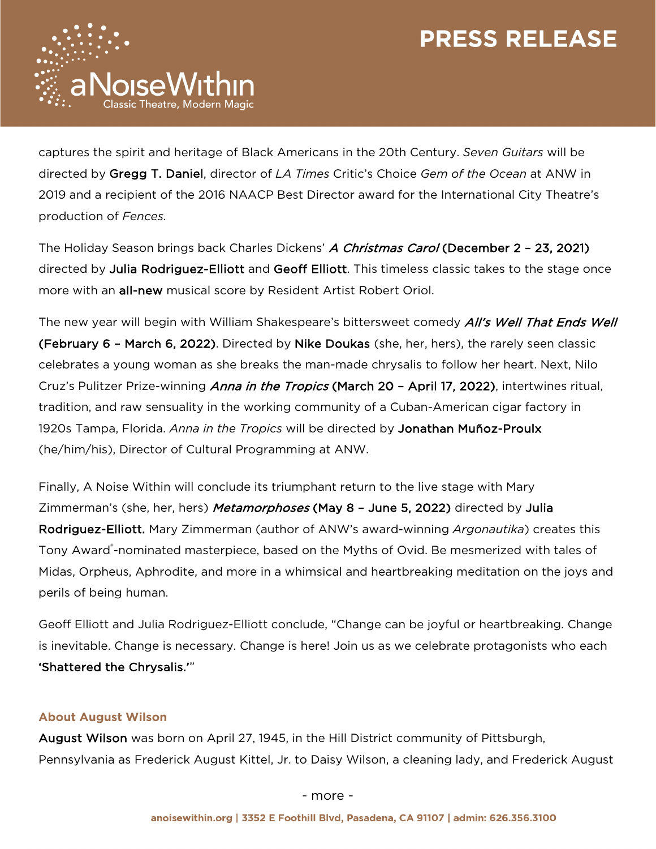

captures the spirit and heritage of Black Americans in the 20th Century. *Seven Guitars* will be directed by Gregg T. Daniel, director of *LA Times* Critic's Choice *Gem of the Ocean* at ANW in 2019 and a recipient of the 2016 NAACP Best Director award for the International City Theatre's production of *Fences.*

The Holiday Season brings back Charles Dickens' A Christmas Carol (December 2 - 23, 2021) directed by Julia Rodriguez-Elliott and Geoff Elliott. This timeless classic takes to the stage once more with an all-new musical score by Resident Artist Robert Oriol.

The new year will begin with William Shakespeare's bittersweet comedy *All's Well That Ends Well* (February 6 – March 6, 2022). Directed by Nike Doukas (she, her, hers), the rarely seen classic celebrates a young woman as she breaks the man-made chrysalis to follow her heart. Next, Nilo Cruz's Pulitzer Prize-winning *Anna in the Tropics* (March 20 - April 17, 2022), intertwines ritual, tradition, and raw sensuality in the working community of a Cuban-American cigar factory in 1920s Tampa, Florida. *Anna in the Tropics* will be directed by Jonathan Muñoz-Proulx (he/him/his), Director of Cultural Programming at ANW.

Finally, A Noise Within will conclude its triumphant return to the live stage with Mary Zimmerman's (she, her, hers) Metamorphoses (May 8 - June 5, 2022) directed by Julia Rodriguez-Elliott. Mary Zimmerman (author of ANW's award-winning *Argonautika*) creates this Tony Award®-nominated masterpiece, based on the Myths of Ovid. Be mesmerized with tales of Midas, Orpheus, Aphrodite, and more in a whimsical and heartbreaking meditation on the joys and perils of being human.

Geoff Elliott and Julia Rodriguez-Elliott conclude, "Change can be joyful or heartbreaking. Change is inevitable. Change is necessary. Change is here! Join us as we celebrate protagonists who each 'Shattered the Chrysalis.'"

### **About August Wilson**

August Wilson was born on April 27, 1945, in the Hill District community of Pittsburgh, Pennsylvania as Frederick August Kittel, Jr. to Daisy Wilson, a cleaning lady, and Frederick August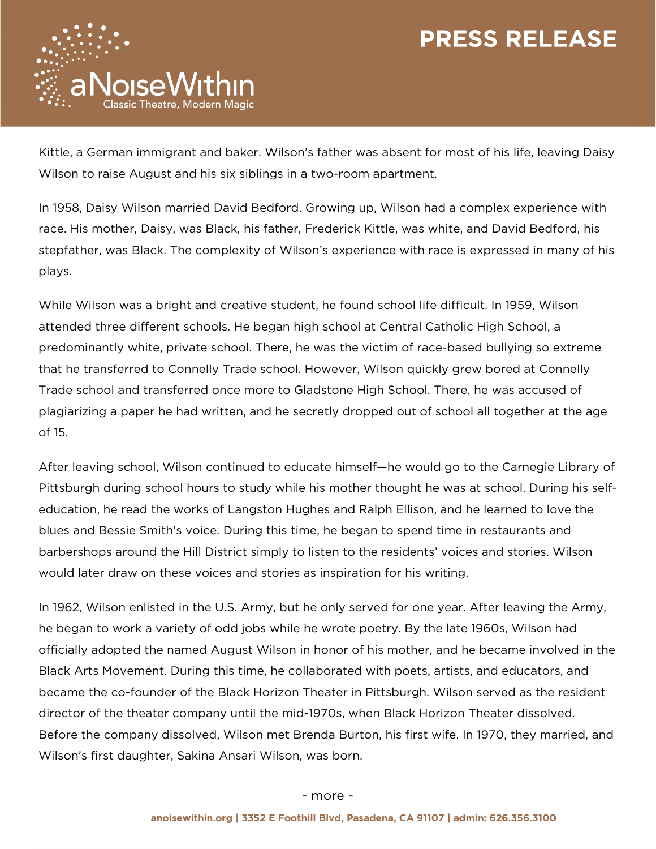

Kittle, a German immigrant and baker. Wilson's father was absent for most of his life, leaving Daisy Wilson to raise August and his six siblings in a two-room apartment.

In 1958, Daisy Wilson married David Bedford. Growing up, Wilson had a complex experience with race. His mother, Daisy, was Black, his father, Frederick Kittle, was white, and David Bedford, his stepfather, was Black. The complexity of Wilson's experience with race is expressed in many of his plays.

While Wilson was a bright and creative student, he found school life difficult. In 1959, Wilson attended three different schools. He began high school at Central Catholic High School, a predominantly white, private school. There, he was the victim of race-based bullying so extreme that he transferred to Connelly Trade school. However, Wilson quickly grew bored at Connelly Trade school and transferred once more to Gladstone High School. There, he was accused of plagiarizing a paper he had written, and he secretly dropped out of school all together at the age of 15.

After leaving school, Wilson continued to educate himself—he would go to the Carnegie Library of Pittsburgh during school hours to study while his mother thought he was at school. During his selfeducation, he read the works of Langston Hughes and Ralph Ellison, and he learned to love the blues and Bessie Smith's voice. During this time, he began to spend time in restaurants and barbershops around the Hill District simply to listen to the residents' voices and stories. Wilson would later draw on these voices and stories as inspiration for his writing.

In 1962, Wilson enlisted in the U.S. Army, but he only served for one year. After leaving the Army, he began to work a variety of odd jobs while he wrote poetry. By the late 1960s, Wilson had officially adopted the named August Wilson in honor of his mother, and he became involved in the Black Arts Movement. During this time, he collaborated with poets, artists, and educators, and became the co-founder of the Black Horizon Theater in Pittsburgh. Wilson served as the resident director of the theater company until the mid-1970s, when Black Horizon Theater dissolved. Before the company dissolved, Wilson met Brenda Burton, his first wife. In 1970, they married, and Wilson's first daughter, Sakina Ansari Wilson, was born.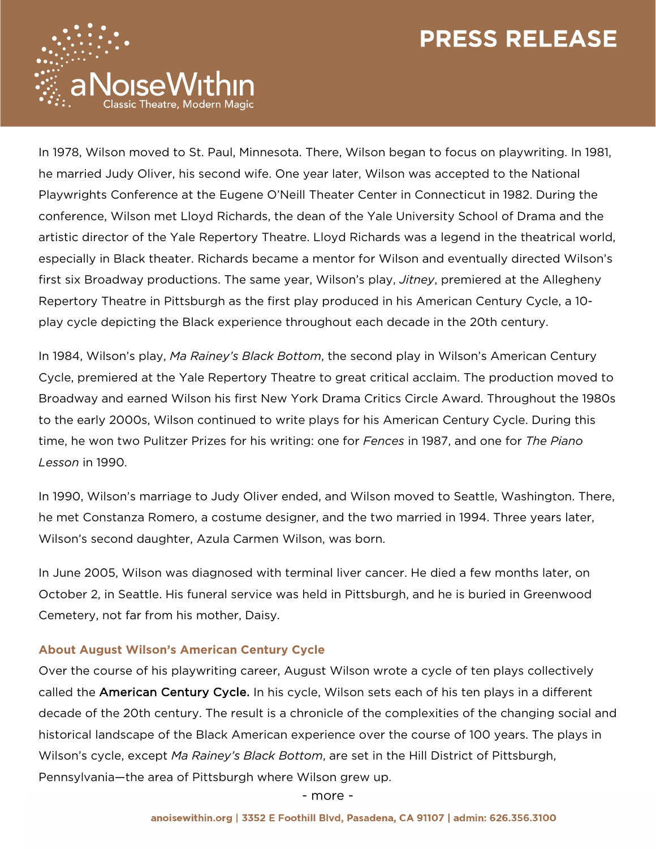

In 1978, Wilson moved to St. Paul, Minnesota. There, Wilson began to focus on playwriting. In 1981, he married Judy Oliver, his second wife. One year later, Wilson was accepted to the National Playwrights Conference at the Eugene O'Neill Theater Center in Connecticut in 1982. During the conference, Wilson met Lloyd Richards, the dean of the Yale University School of Drama and the artistic director of the Yale Repertory Theatre. Lloyd Richards was a legend in the theatrical world, especially in Black theater. Richards became a mentor for Wilson and eventually directed Wilson's first six Broadway productions. The same year, Wilson's play, *Jitney*, premiered at the Allegheny Repertory Theatre in Pittsburgh as the first play produced in his American Century Cycle, a 10 play cycle depicting the Black experience throughout each decade in the 20th century.

In 1984, Wilson's play, *Ma Rainey's Black Bottom*, the second play in Wilson's American Century Cycle, premiered at the Yale Repertory Theatre to great critical acclaim. The production moved to Broadway and earned Wilson his first New York Drama Critics Circle Award. Throughout the 1980s to the early 2000s, Wilson continued to write plays for his American Century Cycle. During this time, he won two Pulitzer Prizes for his writing: one for *Fences* in 1987, and one for *The Piano Lesson* in 1990.

In 1990, Wilson's marriage to Judy Oliver ended, and Wilson moved to Seattle, Washington. There, he met Constanza Romero, a costume designer, and the two married in 1994. Three years later, Wilson's second daughter, Azula Carmen Wilson, was born.

In June 2005, Wilson was diagnosed with terminal liver cancer. He died a few months later, on October 2, in Seattle. His funeral service was held in Pittsburgh, and he is buried in Greenwood Cemetery, not far from his mother, Daisy.

#### **About August Wilson's American Century Cycle**

Over the course of his playwriting career, August Wilson wrote a cycle of ten plays collectively called the American Century Cycle. In his cycle, Wilson sets each of his ten plays in a different decade of the 20th century. The result is a chronicle of the complexities of the changing social and historical landscape of the Black American experience over the course of 100 years. The plays in Wilson's cycle, except *Ma Rainey's Black Bottom*, are set in the Hill District of Pittsburgh, Pennsylvania—the area of Pittsburgh where Wilson grew up.